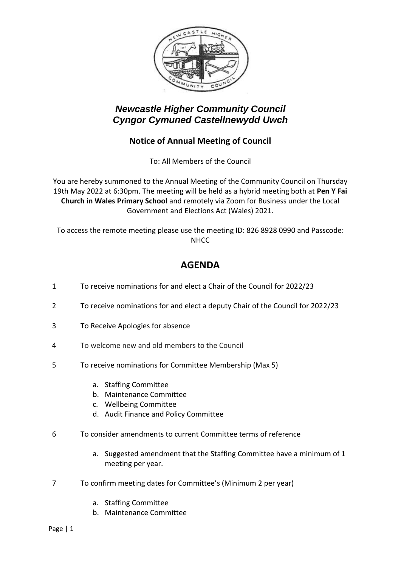

## *Newcastle Higher Community Council Cyngor Cymuned Castellnewydd Uwch*

### **Notice of Annual Meeting of Council**

To: All Members of the Council

You are hereby summoned to the Annual Meeting of the Community Council on Thursday 19th May 2022 at 6:30pm. The meeting will be held as a hybrid meeting both at **Pen Y Fai Church in Wales Primary School** and remotely via Zoom for Business under the Local Government and Elections Act (Wales) 2021.

To access the remote meeting please use the meeting ID: 826 8928 0990 and Passcode: NHCC

# **AGENDA**

- 1 To receive nominations for and elect a Chair of the Council for 2022/23
- 2 To receive nominations for and elect a deputy Chair of the Council for 2022/23
- 3 To Receive Apologies for absence
- 4 To welcome new and old members to the Council
- 5 To receive nominations for Committee Membership (Max 5)
	- a. Staffing Committee
	- b. Maintenance Committee
	- c. Wellbeing Committee
	- d. Audit Finance and Policy Committee
- 6 To consider amendments to current Committee terms of reference
	- a. Suggested amendment that the Staffing Committee have a minimum of 1 meeting per year.
- 7 To confirm meeting dates for Committee's (Minimum 2 per year)
	- a. Staffing Committee
	- b. Maintenance Committee

Page | 1